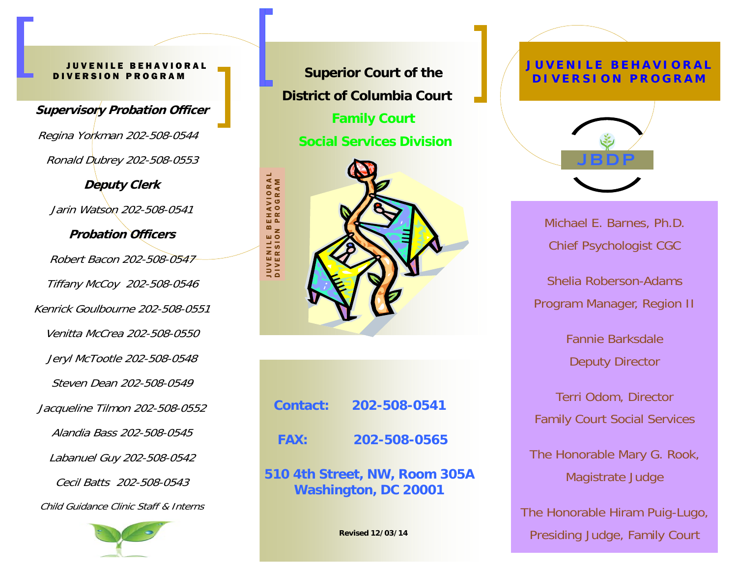## **ENILE BEHAVIORAL** DIVERSION PROGRAM

**Supervisory Probation Officer**  Regina Yorkman 202-508-0544 Ronald Dubrey 202-508-0553 **Deputy Clerk**  Jarin Watson 202-508-0541 **Probation Officers** Robert Bacon 202-508-0547 Tiffany McCoy 202-508-0546 Kenrick Goulbourne 202-508-0551 Venitta McCrea 202-508-0550 Jeryl McTootle 202-508-0548 Steven Dean 202-508-0549 Jacqueline Tilmon 202-508-0552 Alandia Bass 202-508-0545 Labanuel Guy 202-508-0542 Cecil Batts 202-508-0543 Child Guidance Clinic Staff & Interns



**Superior Court of the District of Columbia Court Family Court Social Services Division** 



| <b>Contact:</b> | 202-508-0541 |
|-----------------|--------------|
| <b>FAX:</b>     | 202-508-0565 |
|                 |              |

**510 4th Street, NW, Room 305A Washington, DC 20001** 

**Revised 12/03/14** 

## **JUVENILE BEHAVIORAL DIVERSION PROGRAM**



Michael E. Barnes, Ph.D. Chief Psychologist CGC

Shelia Roberson-Adams Program Manager, Region II

> Fannie Barksdale Deputy Director

Terri Odom, Director Family Court Social Services

The Honorable Mary G. Rook, Magistrate Judge

The Honorable Hiram Puig-Lugo, Presiding Judge, Family Court